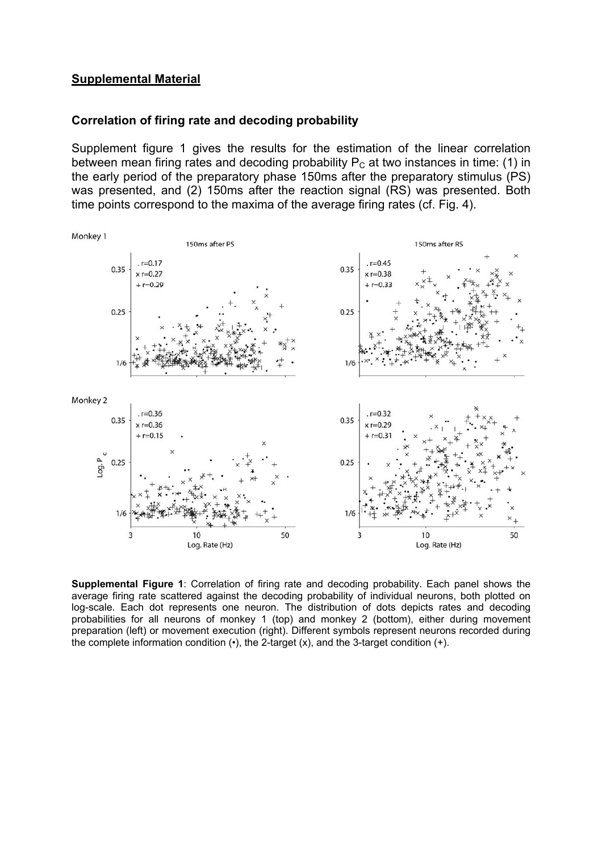### **Supplemental Material**

#### **Correlation of firing rate and decoding probability**

Supplement figure 1 gives the results for the estimation of the linear correlation between mean firing rates and decoding probability  $P_c$  at two instances in time: (1) in the early period of the preparatory phase 150ms after the preparatory stimulus (PS) was presented, and (2) 150ms after the reaction signal (RS) was presented. Both time points correspond to the maxima of the average firing rates (cf. Fig. 4).



**Supplemental Figure 1**: Correlation of firing rate and decoding probability. Each panel shows the average firing rate scattered against the decoding probability of individual neurons, both plotted on log-scale. Each dot represents one neuron. The distribution of dots depicts rates and decoding probabilities for all neurons of monkey 1 (top) and monkey 2 (bottom), either during movement preparation (left) or movement execution (right). Different symbols represent neurons recorded during the complete information condition  $(•)$ , the 2-target  $(x)$ , and the 3-target condition  $(+)$ .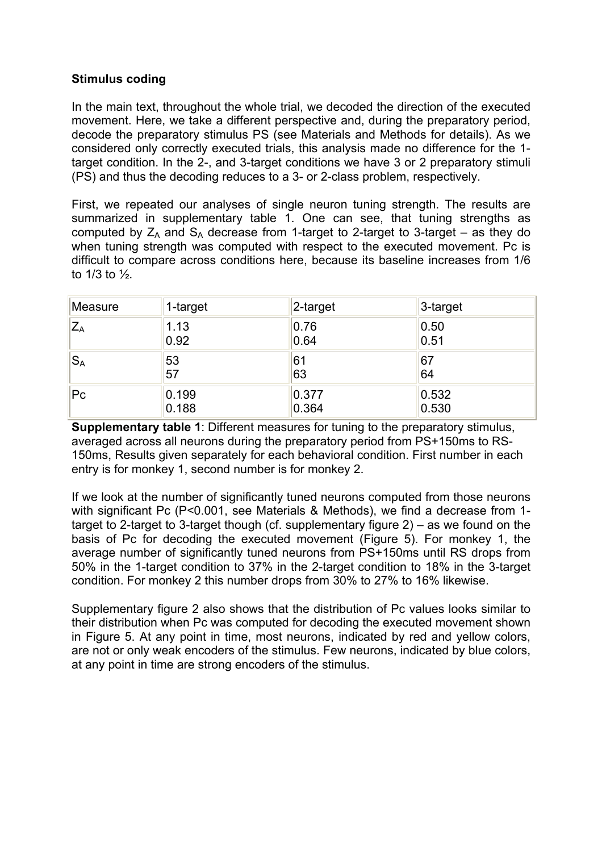# **Stimulus coding**

In the main text, throughout the whole trial, we decoded the direction of the executed movement. Here, we take a different perspective and, during the preparatory period, decode the preparatory stimulus PS (see Materials and Methods for details). As we considered only correctly executed trials, this analysis made no difference for the 1 target condition. In the 2-, and 3-target conditions we have 3 or 2 preparatory stimuli (PS) and thus the decoding reduces to a 3- or 2-class problem, respectively.

First, we repeated our analyses of single neuron tuning strength. The results are summarized in supplementary table 1. One can see, that tuning strengths as computed by  $Z_A$  and  $S_A$  decrease from 1-target to 2-target to 3-target – as they do when tuning strength was computed with respect to the executed movement. Pc is difficult to compare across conditions here, because its baseline increases from 1/6 to 1/3 to ½.

| Measure | 1-target | 2-target | 3-target |
|---------|----------|----------|----------|
| $Z_A$   | 1.13     | 0.76     | 0.50     |
|         | 0.92     | 0.64     | 0.51     |
| $ S_A$  | 53       | 61       | 67       |
|         | 57       | 63       | 64       |
| $ P_C $ | 0.199    | 0.377    | 0.532    |
|         | 0.188    | 0.364    | 0.530    |

**Supplementary table 1**: Different measures for tuning to the preparatory stimulus, averaged across all neurons during the preparatory period from PS+150ms to RS-150ms, Results given separately for each behavioral condition. First number in each entry is for monkey 1, second number is for monkey 2.

If we look at the number of significantly tuned neurons computed from those neurons with significant Pc (P<0.001, see Materials & Methods), we find a decrease from 1 target to 2-target to 3-target though (cf. supplementary figure 2) – as we found on the basis of Pc for decoding the executed movement (Figure 5). For monkey 1, the average number of significantly tuned neurons from PS+150ms until RS drops from 50% in the 1-target condition to 37% in the 2-target condition to 18% in the 3-target condition. For monkey 2 this number drops from 30% to 27% to 16% likewise.

Supplementary figure 2 also shows that the distribution of Pc values looks similar to their distribution when Pc was computed for decoding the executed movement shown in Figure 5. At any point in time, most neurons, indicated by red and yellow colors, are not or only weak encoders of the stimulus. Few neurons, indicated by blue colors, at any point in time are strong encoders of the stimulus.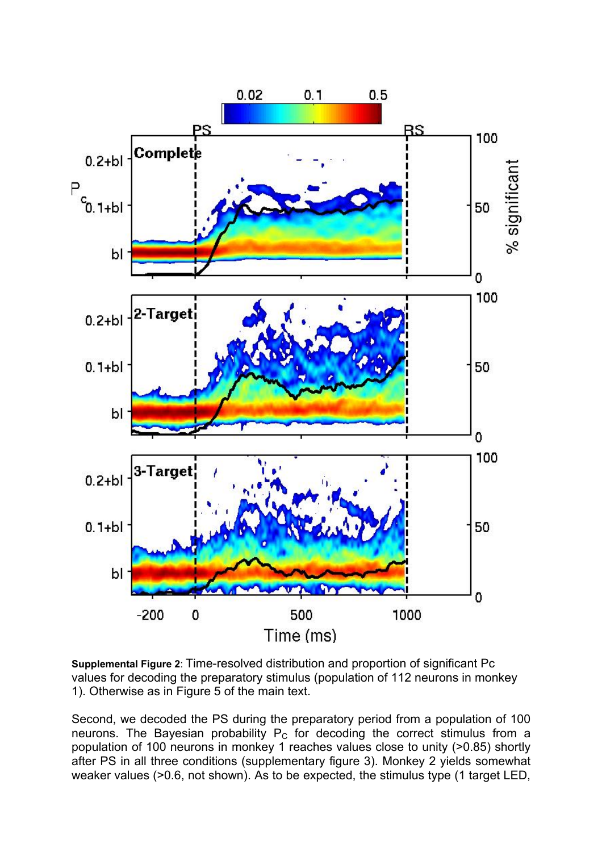

**Supplemental Figure 2**: Time-resolved distribution and proportion of significant Pc values for decoding the preparatory stimulus (population of 112 neurons in monkey 1). Otherwise as in Figure 5 of the main text.

Second, we decoded the PS during the preparatory period from a population of 100 neurons. The Bayesian probability  $P_c$  for decoding the correct stimulus from a population of 100 neurons in monkey 1 reaches values close to unity (>0.85) shortly after PS in all three conditions (supplementary figure 3). Monkey 2 yields somewhat weaker values (>0.6, not shown). As to be expected, the stimulus type (1 target LED,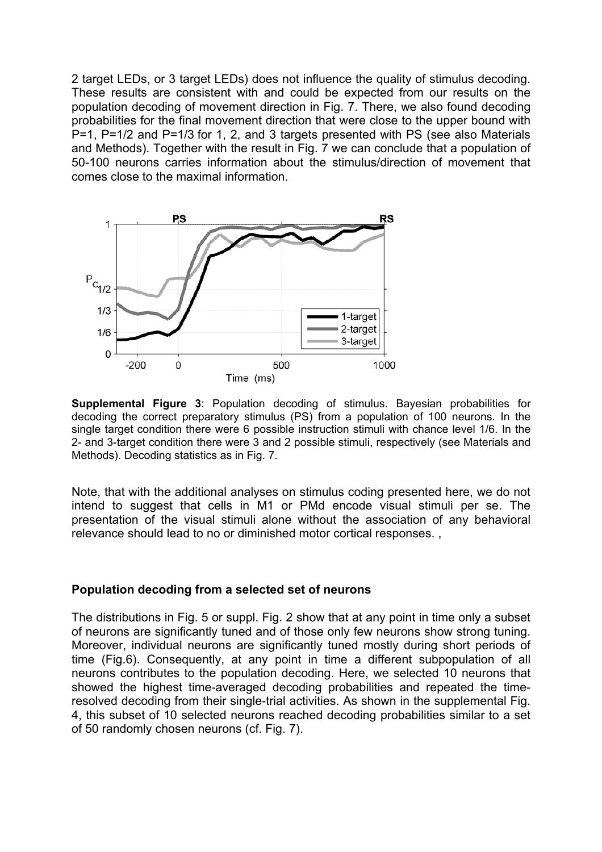2 target LEDs, or 3 target LEDs) does not influence the quality of stimulus decoding. These results are consistent with and could be expected from our results on the population decoding of movement direction in Fig. 7. There, we also found decoding probabilities for the final movement direction that were close to the upper bound with P=1, P=1/2 and P=1/3 for 1, 2, and 3 targets presented with PS (see also Materials and Methods). Together with the result in Fig. 7 we can conclude that a population of 50-100 neurons carries information about the stimulus/direction of movement that comes close to the maximal information.



**Supplemental Figure 3**: Population decoding of stimulus. Bayesian probabilities for decoding the correct preparatory stimulus (PS) from a population of 100 neurons. In the single target condition there were 6 possible instruction stimuli with chance level 1/6. In the 2- and 3-target condition there were 3 and 2 possible stimuli, respectively (see Materials and Methods). Decoding statistics as in Fig. 7.

Note, that with the additional analyses on stimulus coding presented here, we do not intend to suggest that cells in M1 or PMd encode visual stimuli per se. The presentation of the visual stimuli alone without the association of any behavioral relevance should lead to no or diminished motor cortical responses. ,

## **Population decoding from a selected set of neurons**

The distributions in Fig. 5 or suppl. Fig. 2 show that at any point in time only a subset of neurons are significantly tuned and of those only few neurons show strong tuning. Moreover, individual neurons are significantly tuned mostly during short periods of time (Fig.6). Consequently, at any point in time a different subpopulation of all neurons contributes to the population decoding. Here, we selected 10 neurons that showed the highest time-averaged decoding probabilities and repeated the timeresolved decoding from their single-trial activities. As shown in the supplemental Fig. 4, this subset of 10 selected neurons reached decoding probabilities similar to a set of 50 randomly chosen neurons (cf. Fig. 7).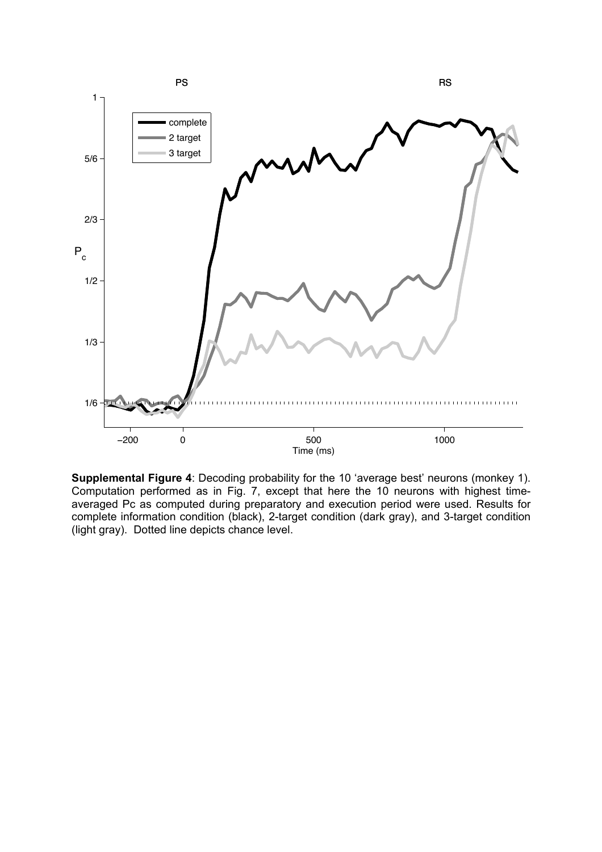

**Supplemental Figure 4**: Decoding probability for the 10 'average best' neurons (monkey 1). Computation performed as in Fig. 7, except that here the 10 neurons with highest timeaveraged Pc as computed during preparatory and execution period were used. Results for complete information condition (black), 2-target condition (dark gray), and 3-target condition (light gray). Dotted line depicts chance level.